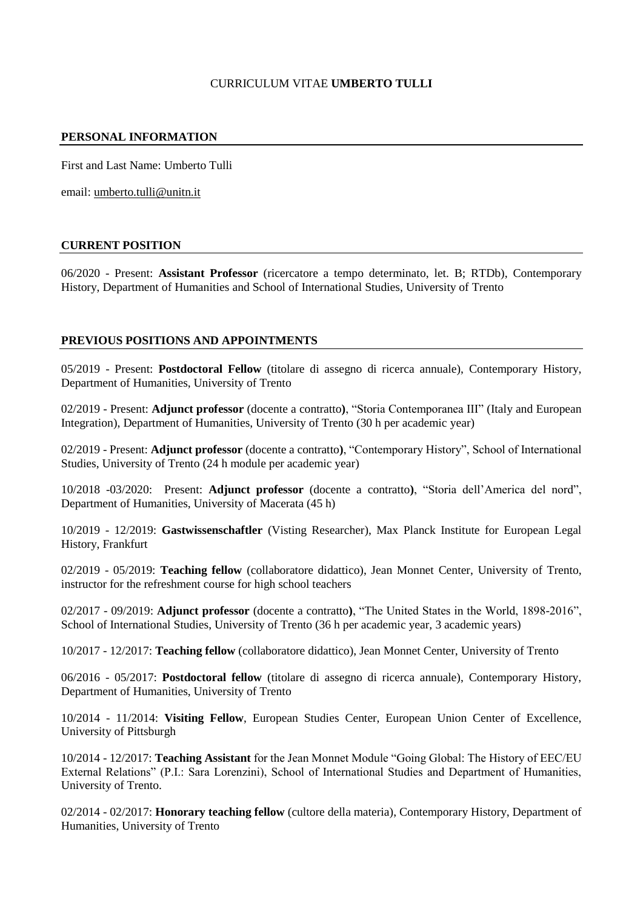## CURRICULUM VITAE **UMBERTO TULLI**

## **PERSONAL INFORMATION**

First and Last Name: Umberto Tulli

email: [umberto.tulli@unitn.it](mailto:umberto.tulli@unitn.it)

### **CURRENT POSITION**

06/2020 - Present: **Assistant Professor** (ricercatore a tempo determinato, let. B; RTDb), Contemporary History, Department of Humanities and School of International Studies, University of Trento

### **PREVIOUS POSITIONS AND APPOINTMENTS**

05/2019 - Present: **Postdoctoral Fellow** (titolare di assegno di ricerca annuale), Contemporary History, Department of Humanities, University of Trento

02/2019 - Present: **Adjunct professor** (docente a contratto**)**, "Storia Contemporanea III" (Italy and European Integration), Department of Humanities, University of Trento (30 h per academic year)

02/2019 - Present: **Adjunct professor** (docente a contratto**)**, "Contemporary History", School of International Studies, University of Trento (24 h module per academic year)

10/2018 -03/2020: Present: **Adjunct professor** (docente a contratto**)**, "Storia dell'America del nord", Department of Humanities, University of Macerata (45 h)

10/2019 - 12/2019: **Gastwissenschaftler** (Visting Researcher), Max Planck Institute for European Legal History, Frankfurt

02/2019 - 05/2019: **Teaching fellow** (collaboratore didattico), Jean Monnet Center, University of Trento, instructor for the refreshment course for high school teachers

02/2017 - 09/2019: **Adjunct professor** (docente a contratto**)**, "The United States in the World, 1898-2016", School of International Studies, University of Trento (36 h per academic year, 3 academic years)

10/2017 - 12/2017: **Teaching fellow** (collaboratore didattico), Jean Monnet Center, University of Trento

06/2016 - 05/2017: **Postdoctoral fellow** (titolare di assegno di ricerca annuale), Contemporary History, Department of Humanities, University of Trento

10/2014 - 11/2014: **Visiting Fellow**, European Studies Center, European Union Center of Excellence, University of Pittsburgh

10/2014 - 12/2017: **Teaching Assistant** for the Jean Monnet Module "Going Global: The History of EEC/EU External Relations" (P.I.: Sara Lorenzini), School of International Studies and Department of Humanities, University of Trento.

02/2014 - 02/2017: **Honorary teaching fellow** (cultore della materia), Contemporary History, Department of Humanities, University of Trento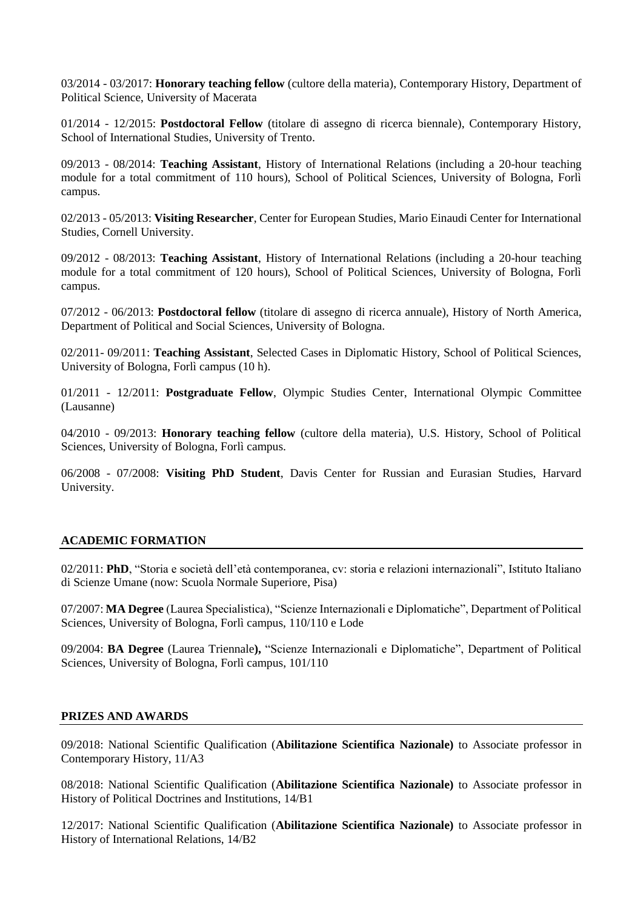03/2014 - 03/2017: **Honorary teaching fellow** (cultore della materia), Contemporary History, Department of Political Science, University of Macerata

01/2014 - 12/2015: **Postdoctoral Fellow** (titolare di assegno di ricerca biennale), Contemporary History, School of International Studies, University of Trento.

09/2013 - 08/2014: **Teaching Assistant**, History of International Relations (including a 20-hour teaching module for a total commitment of 110 hours), School of Political Sciences, University of Bologna, Forlì campus.

02/2013 - 05/2013: **Visiting Researcher**, Center for European Studies, Mario Einaudi Center for International Studies, Cornell University.

09/2012 - 08/2013: **Teaching Assistant**, History of International Relations (including a 20-hour teaching module for a total commitment of 120 hours), School of Political Sciences, University of Bologna, Forlì campus.

07/2012 - 06/2013: **Postdoctoral fellow** (titolare di assegno di ricerca annuale), History of North America, Department of Political and Social Sciences, University of Bologna.

02/2011- 09/2011: **Teaching Assistant**, Selected Cases in Diplomatic History, School of Political Sciences, University of Bologna, Forlì campus (10 h).

01/2011 - 12/2011: **Postgraduate Fellow**, Olympic Studies Center, International Olympic Committee (Lausanne)

04/2010 - 09/2013: **Honorary teaching fellow** (cultore della materia), U.S. History, School of Political Sciences, University of Bologna, Forlì campus.

06/2008 - 07/2008: **Visiting PhD Student**, Davis Center for Russian and Eurasian Studies, Harvard University.

### **ACADEMIC FORMATION**

02/2011: **PhD**, "Storia e società dell'età contemporanea, cv: storia e relazioni internazionali", Istituto Italiano di Scienze Umane (now: Scuola Normale Superiore, Pisa)

07/2007: **MA Degree** (Laurea Specialistica), "Scienze Internazionali e Diplomatiche", Department of Political Sciences, University of Bologna, Forlì campus, 110/110 e Lode

09/2004: **BA Degree** (Laurea Triennale**),** "Scienze Internazionali e Diplomatiche", Department of Political Sciences, University of Bologna, Forlì campus, 101/110

## **PRIZES AND AWARDS**

09/2018: National Scientific Qualification (**Abilitazione Scientifica Nazionale)** to Associate professor in Contemporary History, 11/A3

08/2018: National Scientific Qualification (**Abilitazione Scientifica Nazionale)** to Associate professor in History of Political Doctrines and Institutions, 14/B1

12/2017: National Scientific Qualification (**Abilitazione Scientifica Nazionale)** to Associate professor in History of International Relations, 14/B2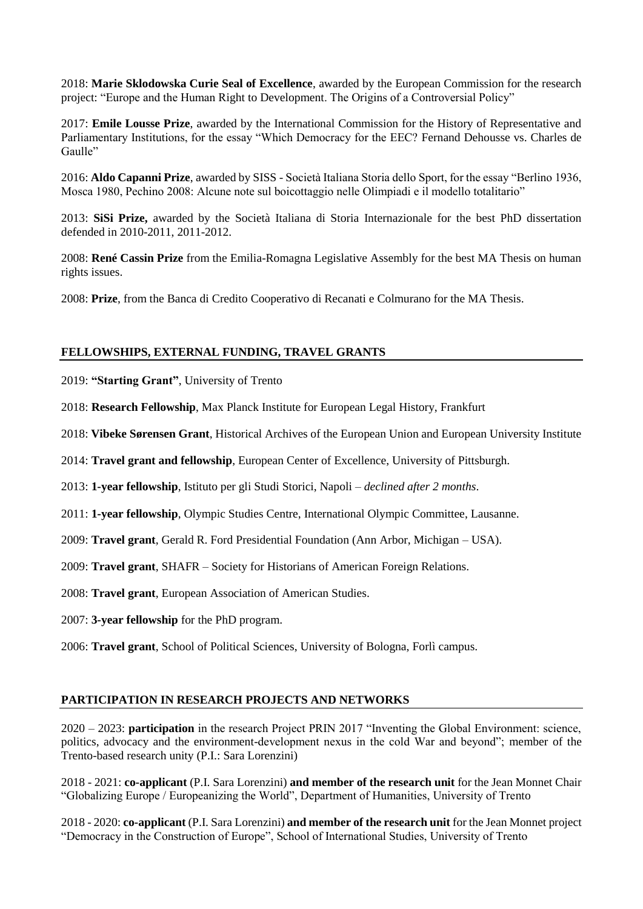2018: **Marie Sklodowska Curie Seal of Excellence**, awarded by the European Commission for the research project: "Europe and the Human Right to Development. The Origins of a Controversial Policy"

2017: **Emile Lousse Prize**, awarded by the International Commission for the History of Representative and Parliamentary Institutions, for the essay "Which Democracy for the EEC? Fernand Dehousse vs. Charles de Gaulle"

2016: **Aldo Capanni Prize**, awarded by SISS - Società Italiana Storia dello Sport, for the essay "Berlino 1936, Mosca 1980, Pechino 2008: Alcune note sul boicottaggio nelle Olimpiadi e il modello totalitario"

2013: **SiSi Prize,** awarded by the Società Italiana di Storia Internazionale for the best PhD dissertation defended in 2010-2011, 2011-2012.

2008: **René Cassin Prize** from the Emilia-Romagna Legislative Assembly for the best MA Thesis on human rights issues.

2008: **Prize**, from the Banca di Credito Cooperativo di Recanati e Colmurano for the MA Thesis.

## **FELLOWSHIPS, EXTERNAL FUNDING, TRAVEL GRANTS**

2019: **"Starting Grant"**, University of Trento

2018: **Research Fellowship**, Max Planck Institute for European Legal History, Frankfurt

2018: **Vibeke Sørensen Grant**, Historical Archives of the European Union and European University Institute

2014: **Travel grant and fellowship**, European Center of Excellence, University of Pittsburgh.

2013: **1-year fellowship**, Istituto per gli Studi Storici, Napoli – *declined after 2 months*.

2011: **1-year fellowship**, Olympic Studies Centre, International Olympic Committee, Lausanne.

2009: **Travel grant**, Gerald R. Ford Presidential Foundation (Ann Arbor, Michigan – USA).

2009: **Travel grant**, SHAFR – Society for Historians of American Foreign Relations.

2008: **Travel grant**, European Association of American Studies.

2007: **3-year fellowship** for the PhD program.

2006: **Travel grant**, School of Political Sciences, University of Bologna, Forlì campus.

### **PARTICIPATION IN RESEARCH PROJECTS AND NETWORKS**

2020 – 2023: **participation** in the research Project PRIN 2017 "Inventing the Global Environment: science, politics, advocacy and the environment-development nexus in the cold War and beyond"; member of the Trento-based research unity (P.I.: Sara Lorenzini)

2018 - 2021: **co-applicant** (P.I. Sara Lorenzini) **and member of the research unit** for the Jean Monnet Chair "Globalizing Europe / Europeanizing the World", Department of Humanities, University of Trento

2018 - 2020: **co-applicant** (P.I. Sara Lorenzini) **and member of the research unit** for the Jean Monnet project "Democracy in the Construction of Europe", School of International Studies, University of Trento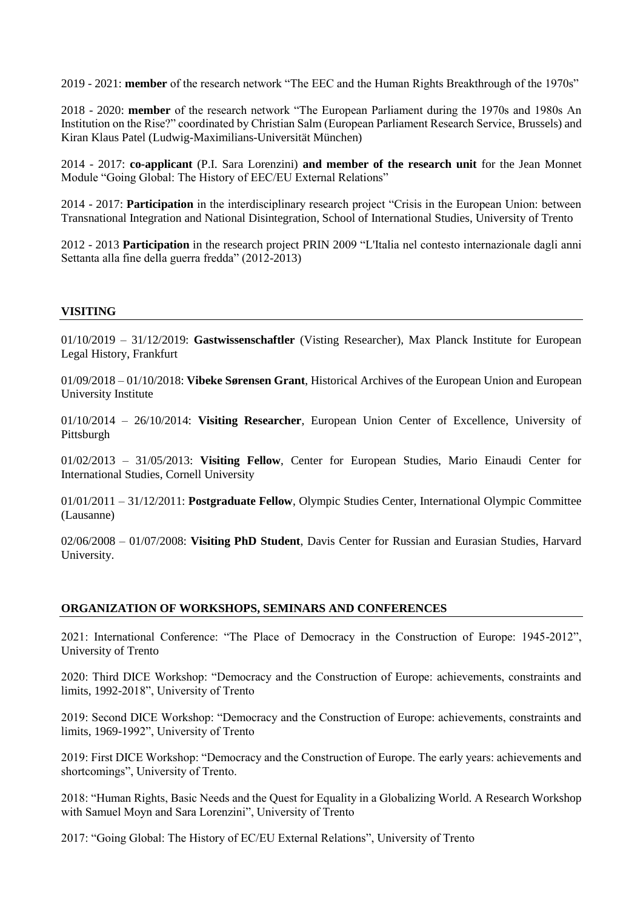2019 - 2021: **member** of the research network "The EEC and the Human Rights Breakthrough of the 1970s"

2018 - 2020: **member** of the research network "The European Parliament during the 1970s and 1980s An Institution on the Rise?" coordinated by Christian Salm (European Parliament Research Service, Brussels) and Kiran Klaus Patel (Ludwig-Maximilians-Universität München)

2014 - 2017: **co-applicant** (P.I. Sara Lorenzini) **and member of the research unit** for the Jean Monnet Module "Going Global: The History of EEC/EU External Relations"

2014 - 2017: **Participation** in the interdisciplinary research project "Crisis in the European Union: between Transnational Integration and National Disintegration, School of International Studies, University of Trento

2012 - 2013 **Participation** in the research project PRIN 2009 "L'Italia nel contesto internazionale dagli anni Settanta alla fine della guerra fredda" (2012-2013)

### **VISITING**

01/10/2019 – 31/12/2019: **Gastwissenschaftler** (Visting Researcher), Max Planck Institute for European Legal History, Frankfurt

01/09/2018 – 01/10/2018: **Vibeke Sørensen Grant**, Historical Archives of the European Union and European University Institute

01/10/2014 – 26/10/2014: **Visiting Researcher**, European Union Center of Excellence, University of Pittsburgh

01/02/2013 – 31/05/2013: **Visiting Fellow**, Center for European Studies, Mario Einaudi Center for International Studies, Cornell University

01/01/2011 – 31/12/2011: **Postgraduate Fellow**, Olympic Studies Center, International Olympic Committee (Lausanne)

02/06/2008 – 01/07/2008: **Visiting PhD Student**, Davis Center for Russian and Eurasian Studies, Harvard University.

### **ORGANIZATION OF WORKSHOPS, SEMINARS AND CONFERENCES**

2021: International Conference: "The Place of Democracy in the Construction of Europe: 1945-2012", University of Trento

2020: Third DICE Workshop: "Democracy and the Construction of Europe: achievements, constraints and limits, 1992-2018", University of Trento

2019: Second DICE Workshop: "Democracy and the Construction of Europe: achievements, constraints and limits, 1969-1992", University of Trento

2019: First DICE Workshop: "Democracy and the Construction of Europe. The early years: achievements and shortcomings", University of Trento.

2018: "Human Rights, Basic Needs and the Quest for Equality in a Globalizing World. A Research Workshop with Samuel Moyn and Sara Lorenzini", University of Trento

2017: "Going Global: The History of EC/EU External Relations", University of Trento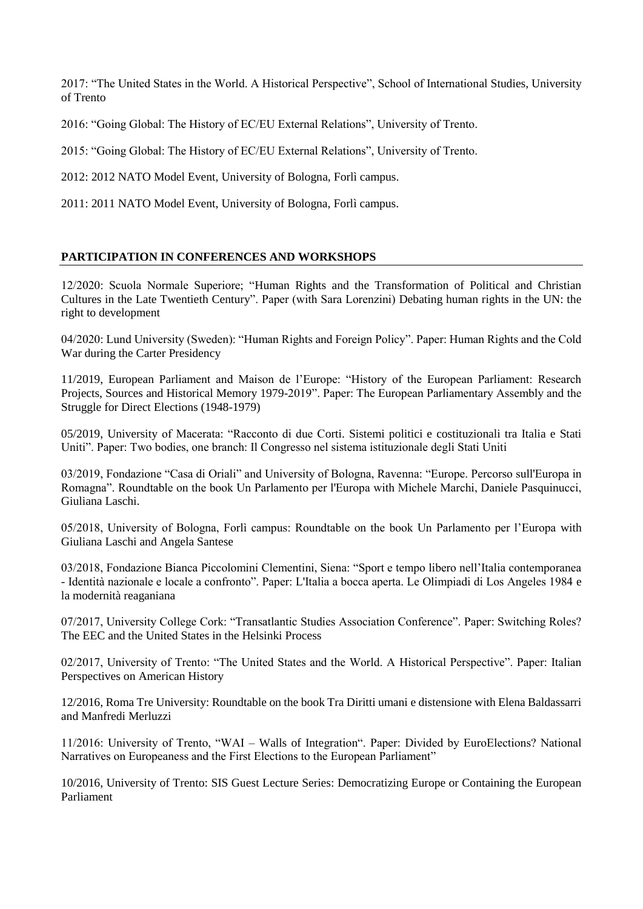2017: "The United States in the World. A Historical Perspective", School of International Studies, University of Trento

2016: "Going Global: The History of EC/EU External Relations", University of Trento.

2015: "Going Global: The History of EC/EU External Relations", University of Trento.

2012: 2012 NATO Model Event, University of Bologna, Forlì campus.

2011: 2011 NATO Model Event, University of Bologna, Forlì campus.

# **PARTICIPATION IN CONFERENCES AND WORKSHOPS**

12/2020: Scuola Normale Superiore; "Human Rights and the Transformation of Political and Christian Cultures in the Late Twentieth Century". Paper (with Sara Lorenzini) Debating human rights in the UN: the right to development

04/2020: Lund University (Sweden): "Human Rights and Foreign Policy". Paper: Human Rights and the Cold War during the Carter Presidency

11/2019, European Parliament and Maison de l'Europe: "History of the European Parliament: Research Projects, Sources and Historical Memory 1979-2019". Paper: The European Parliamentary Assembly and the Struggle for Direct Elections (1948-1979)

05/2019, University of Macerata: "Racconto di due Corti. Sistemi politici e costituzionali tra Italia e Stati Uniti". Paper: Two bodies, one branch: Il Congresso nel sistema istituzionale degli Stati Uniti

03/2019, Fondazione "Casa di Oriali" and University of Bologna, Ravenna: "Europe. Percorso sull'Europa in Romagna". Roundtable on the book Un Parlamento per l'Europa with Michele Marchi, Daniele Pasquinucci, Giuliana Laschi.

05/2018, University of Bologna, Forlì campus: Roundtable on the book Un Parlamento per l'Europa with Giuliana Laschi and Angela Santese

03/2018, Fondazione Bianca Piccolomini Clementini, Siena: "Sport e tempo libero nell'Italia contemporanea - Identità nazionale e locale a confronto". Paper: L'Italia a bocca aperta. Le Olimpiadi di Los Angeles 1984 e la modernità reaganiana

07/2017, University College Cork: "Transatlantic Studies Association Conference". Paper: Switching Roles? The EEC and the United States in the Helsinki Process

02/2017, University of Trento: "The United States and the World. A Historical Perspective". Paper: Italian Perspectives on American History

12/2016, Roma Tre University: Roundtable on the book Tra Diritti umani e distensione with Elena Baldassarri and Manfredi Merluzzi

11/2016: University of Trento, "WAI – Walls of Integration". Paper: Divided by EuroElections? National Narratives on Europeaness and the First Elections to the European Parliament"

10/2016, University of Trento: SIS Guest Lecture Series: Democratizing Europe or Containing the European Parliament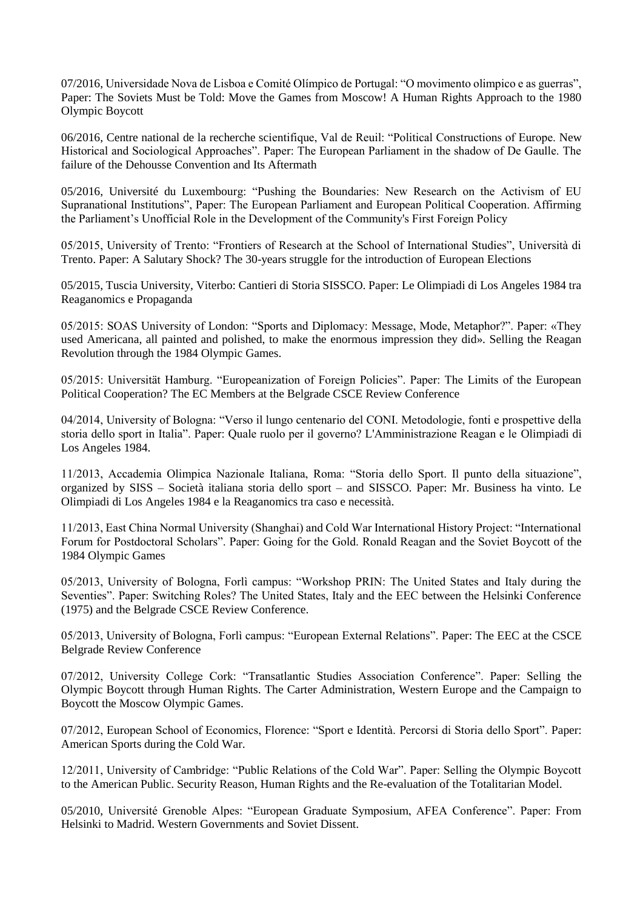07/2016, Universidade Nova de Lisboa e Comité Olímpico de Portugal: "O movimento olimpico e as guerras", Paper: The Soviets Must be Told: Move the Games from Moscow! A Human Rights Approach to the 1980 Olympic Boycott

06/2016, Centre national de la recherche scientifique, Val de Reuil: "Political Constructions of Europe. New Historical and Sociological Approaches". Paper: The European Parliament in the shadow of De Gaulle. The failure of the Dehousse Convention and Its Aftermath

05/2016, Université du Luxembourg: "Pushing the Boundaries: New Research on the Activism of EU Supranational Institutions", Paper: The European Parliament and European Political Cooperation. Affirming the Parliament's Unofficial Role in the Development of the Community's First Foreign Policy

05/2015, University of Trento: "Frontiers of Research at the School of International Studies", Università di Trento. Paper: A Salutary Shock? The 30-years struggle for the introduction of European Elections

05/2015, Tuscia University, Viterbo: Cantieri di Storia SISSCO. Paper: Le Olimpiadi di Los Angeles 1984 tra Reaganomics e Propaganda

05/2015: SOAS University of London: "Sports and Diplomacy: Message, Mode, Metaphor?". Paper: «They used Americana, all painted and polished, to make the enormous impression they did». Selling the Reagan Revolution through the 1984 Olympic Games.

05/2015: Universität Hamburg. "Europeanization of Foreign Policies". Paper: The Limits of the European Political Cooperation? The EC Members at the Belgrade CSCE Review Conference

04/2014, University of Bologna: "Verso il lungo centenario del CONI. Metodologie, fonti e prospettive della storia dello sport in Italia". Paper: Quale ruolo per il governo? L'Amministrazione Reagan e le Olimpiadi di Los Angeles 1984.

11/2013, Accademia Olimpica Nazionale Italiana, Roma: "Storia dello Sport. Il punto della situazione", organized by SISS – Società italiana storia dello sport – and SISSCO. Paper: Mr. Business ha vinto. Le Olimpiadi di Los Angeles 1984 e la Reaganomics tra caso e necessità.

11/2013, East China Normal University (Shanghai) and Cold War International History Project: "International Forum for Postdoctoral Scholars". Paper: Going for the Gold. Ronald Reagan and the Soviet Boycott of the 1984 Olympic Games

05/2013, University of Bologna, Forlì campus: "Workshop PRIN: The United States and Italy during the Seventies". Paper: Switching Roles? The United States, Italy and the EEC between the Helsinki Conference (1975) and the Belgrade CSCE Review Conference.

05/2013, University of Bologna, Forlì campus: "European External Relations". Paper: The EEC at the CSCE Belgrade Review Conference

07/2012, University College Cork: "Transatlantic Studies Association Conference". Paper: Selling the Olympic Boycott through Human Rights. The Carter Administration, Western Europe and the Campaign to Boycott the Moscow Olympic Games.

07/2012, European School of Economics, Florence: "Sport e Identità. Percorsi di Storia dello Sport". Paper: American Sports during the Cold War.

12/2011, University of Cambridge: "Public Relations of the Cold War". Paper: Selling the Olympic Boycott to the American Public. Security Reason, Human Rights and the Re-evaluation of the Totalitarian Model.

05/2010, Université Grenoble Alpes: "European Graduate Symposium, AFEA Conference". Paper: From Helsinki to Madrid. Western Governments and Soviet Dissent.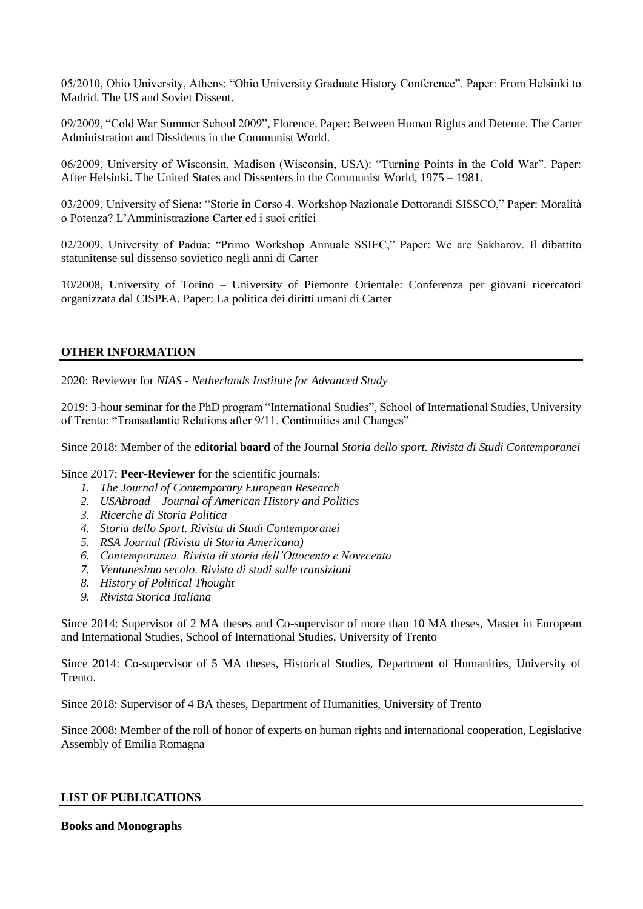05/2010, Ohio University, Athens: "Ohio University Graduate History Conference". Paper: From Helsinki to Madrid. The US and Soviet Dissent.

09/2009, "Cold War Summer School 2009", Florence. Paper: Between Human Rights and Detente. The Carter Administration and Dissidents in the Communist World.

06/2009, University of Wisconsin, Madison (Wisconsin, USA): "Turning Points in the Cold War". Paper: After Helsinki. The United States and Dissenters in the Communist World, 1975 – 1981.

03/2009, University of Siena: "Storie in Corso 4. Workshop Nazionale Dottorandi SISSCO," Paper: Moralità o Potenza? L'Amministrazione Carter ed i suoi critici

02/2009, University of Padua: "Primo Workshop Annuale SSIEC," Paper: We are Sakharov. Il dibattito statunitense sul dissenso sovietico negli anni di Carter

10/2008, University of Torino – University of Piemonte Orientale: Conferenza per giovani ricercatori organizzata dal CISPEA. Paper: La politica dei diritti umani di Carter

## **OTHER INFORMATION**

2020: Reviewer for *NIAS - Netherlands Institute for Advanced Study*

2019: 3-hour seminar for the PhD program "International Studies", School of International Studies, University of Trento: "Transatlantic Relations after 9/11. Continuities and Changes"

Since 2018: Member of the **editorial board** of the Journal *Storia dello sport. Rivista di Studi Contemporanei* 

Since 2017: **Peer-Reviewer** for the scientific journals:

- *1. The Journal of Contemporary European Research*
- *2. USAbroad – Journal of American History and Politics*
- *3. Ricerche di Storia Politica*
- *4. Storia dello Sport. Rivista di Studi Contemporanei*
- *5. RSA Journal (Rivista di Storia Americana)*
- *6. Contemporanea. Rivista di storia dell'Ottocento e Novecento*
- *7. Ventunesimo secolo. Rivista di studi sulle transizioni*
- *8. History of Political Thought*
- *9. Rivista Storica Italiana*

Since 2014: Supervisor of 2 MA theses and Co-supervisor of more than 10 MA theses, Master in European and International Studies, School of International Studies, University of Trento

Since 2014: Co-supervisor of 5 MA theses, Historical Studies, Department of Humanities, University of Trento.

Since 2018: Supervisor of 4 BA theses, Department of Humanities, University of Trento

Since 2008: Member of the roll of honor of experts on human rights and international cooperation, Legislative Assembly of Emilia Romagna

### **LIST OF PUBLICATIONS**

### **Books and Monographs**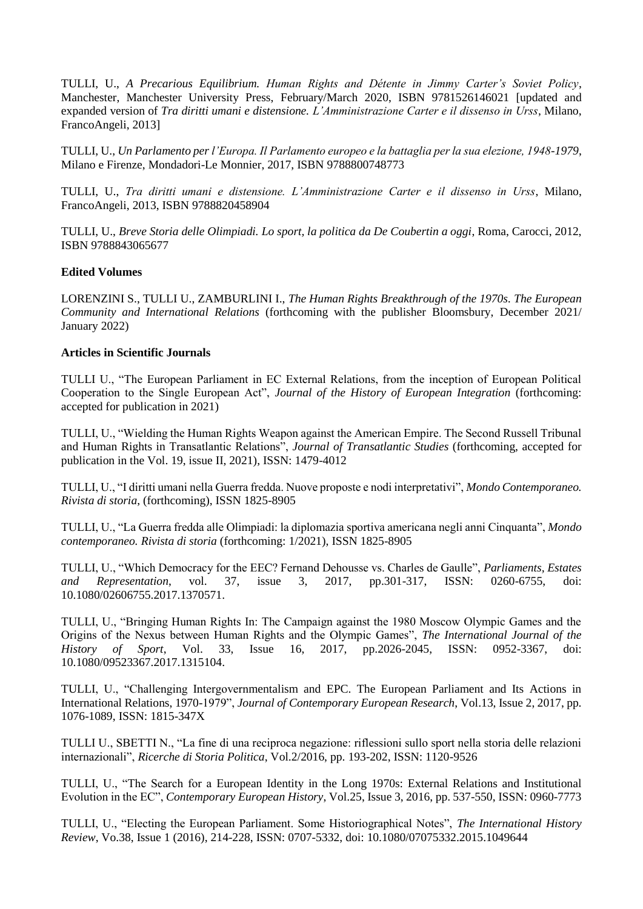TULLI, U., *A Precarious Equilibrium. Human Rights and Détente in Jimmy Carter's Soviet Policy*, Manchester, Manchester University Press, February/March 2020, ISBN 9781526146021 [updated and expanded version of *Tra diritti umani e distensione. L'Amministrazione Carter e il dissenso in Urss*, Milano, FrancoAngeli, 2013]

TULLI, U., *Un Parlamento per l'Europa. Il Parlamento europeo e la battaglia per la sua elezione, 1948-1979*, Milano e Firenze, Mondadori-Le Monnier, 2017, ISBN 9788800748773

TULLI, U., *Tra diritti umani e distensione. L'Amministrazione Carter e il dissenso in Urss*, Milano, FrancoAngeli, 2013, ISBN 9788820458904

TULLI, U., *Breve Storia delle Olimpiadi. Lo sport, la politica da De Coubertin a oggi*, Roma, Carocci, 2012, ISBN 9788843065677

### **Edited Volumes**

LORENZINI S., TULLI U., ZAMBURLINI I., *The Human Rights Breakthrough of the 1970s. The European Community and International Relations* (forthcoming with the publisher Bloomsbury, December 2021/ January 2022)

### **Articles in Scientific Journals**

TULLI U., "The European Parliament in EC External Relations, from the inception of European Political Cooperation to the Single European Act", *Journal of the History of European Integration* (forthcoming: accepted for publication in 2021)

TULLI, U., "Wielding the Human Rights Weapon against the American Empire. The Second Russell Tribunal and Human Rights in Transatlantic Relations", *Journal of Transatlantic Studies* (forthcoming, accepted for publication in the Vol. 19, issue II, 2021), ISSN: 1479-4012

TULLI, U., "I diritti umani nella Guerra fredda. Nuove proposte e nodi interpretativi", *Mondo Contemporaneo. Rivista di storia*, (forthcoming), ISSN 1825-8905

TULLI, U., "La Guerra fredda alle Olimpiadi: la diplomazia sportiva americana negli anni Cinquanta", *Mondo contemporaneo. Rivista di storia* (forthcoming: 1/2021), ISSN 1825-8905

TULLI, U., "Which Democracy for the EEC? Fernand Dehousse vs. Charles de Gaulle", *Parliaments, Estates and Representation*, vol. 37, issue 3, 2017, pp.301-317, ISSN: 0260-6755, doi: 10.1080/02606755.2017.1370571.

TULLI, U., "Bringing Human Rights In: The Campaign against the 1980 Moscow Olympic Games and the Origins of the Nexus between Human Rights and the Olympic Games", *The International Journal of the History of Sport*, Vol. 33, Issue 16, 2017, pp.2026-2045, ISSN: 0952-3367, doi: 10.1080/09523367.2017.1315104.

TULLI, U., "Challenging Intergovernmentalism and EPC. The European Parliament and Its Actions in International Relations, 1970-1979", *Journal of Contemporary European Research*, Vol.13, Issue 2, 2017, pp. 1076-1089, ISSN: 1815-347X

TULLI U., SBETTI N., "La fine di una reciproca negazione: riflessioni sullo sport nella storia delle relazioni internazionali", *Ricerche di Storia Politica*, Vol.2/2016, pp. 193-202, ISSN: 1120-9526

TULLI, U., "The Search for a European Identity in the Long 1970s: External Relations and Institutional Evolution in the EC", *Contemporary European History*, Vol.25, Issue 3, 2016, pp. 537-550, ISSN: 0960-7773

TULLI, U., "Electing the European Parliament. Some Historiographical Notes", *The International History Review*, Vo.38, Issue 1 (2016), 214-228, ISSN: 0707-5332, doi: 10.1080/07075332.2015.1049644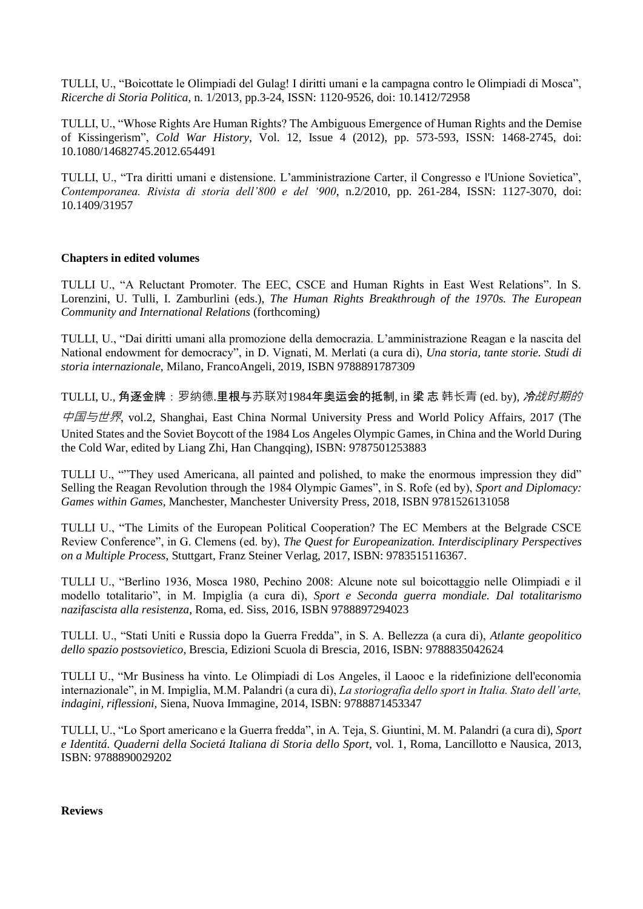TULLI, U., "Boicottate le Olimpiadi del Gulag! I diritti umani e la campagna contro le Olimpiadi di Mosca", *Ricerche di Storia Politica*, n. 1/2013, pp.3-24, ISSN: 1120-9526, doi: 10.1412/72958

TULLI, U., "Whose Rights Are Human Rights? The Ambiguous Emergence of Human Rights and the Demise of Kissingerism", *Cold War History*, Vol. 12, Issue 4 (2012), pp. 573-593, ISSN: 1468-2745, doi: 10.1080/14682745.2012.654491

TULLI, U., "Tra diritti umani e distensione. L'amministrazione Carter, il Congresso e l'Unione Sovietica", *Contemporanea. Rivista di storia dell'800 e del '900*, n.2/2010, pp. 261-284, ISSN: 1127-3070, doi: 10.1409/31957

## **Chapters in edited volumes**

TULLI U., "A Reluctant Promoter. The EEC, CSCE and Human Rights in East West Relations". In S. Lorenzini, U. Tulli, I. Zamburlini (eds.), *The Human Rights Breakthrough of the 1970s. The European Community and International Relations* (forthcoming)

TULLI, U., "Dai diritti umani alla promozione della democrazia. L'amministrazione Reagan e la nascita del National endowment for democracy", in D. Vignati, M. Merlati (a cura di), *Una storia, tante storie. Studi di storia internazionale*, Milano, FrancoAngeli, 2019, ISBN 9788891787309

TULLI. U., 角逐金牌: 罗纳德.里根与苏联对1984年奥运会的抵制, in 梁 志 韩长青 (ed. by), *冷战时期的* 

中国与世界, vol.2, Shanghai, East China Normal University Press and World Policy Affairs, 2017 (The United States and the Soviet Boycott of the 1984 Los Angeles Olympic Games, in China and the World During the Cold War, edited by Liang Zhi, Han Changqing), ISBN: 9787501253883

TULLI U., ""They used Americana, all painted and polished, to make the enormous impression they did" Selling the Reagan Revolution through the 1984 Olympic Games", in S. Rofe (ed by), *Sport and Diplomacy: Games within Games*, Manchester, Manchester University Press, 2018, ISBN 9781526131058

TULLI U., "The Limits of the European Political Cooperation? The EC Members at the Belgrade CSCE Review Conference", in G. Clemens (ed. by), *The Quest for Europeanization. Interdisciplinary Perspectives on a Multiple Process*, Stuttgart, Franz Steiner Verlag, 2017, ISBN: 9783515116367.

TULLI U., "Berlino 1936, Mosca 1980, Pechino 2008: Alcune note sul boicottaggio nelle Olimpiadi e il modello totalitario", in M. Impiglia (a cura di), *Sport e Seconda guerra mondiale. Dal totalitarismo nazifascista alla resistenza*, Roma, ed. Siss, 2016, ISBN 9788897294023

TULLI. U., "Stati Uniti e Russia dopo la Guerra Fredda", in S. A. Bellezza (a cura di), *Atlante geopolitico dello spazio postsovietico*, Brescia, Edizioni Scuola di Brescia, 2016, ISBN: 9788835042624

TULLI U., "Mr Business ha vinto. Le Olimpiadi di Los Angeles, il Laooc e la ridefinizione dell'economia internazionale", in M. Impiglia, M.M. Palandri (a cura di), *La storiografia dello sport in Italia. Stato dell'arte, indagini, riflessioni*, Siena, Nuova Immagine, 2014, ISBN: 9788871453347

TULLI, U., "Lo Sport americano e la Guerra fredda", in A. Teja, S. Giuntini, M. M. Palandri (a cura di), *Sport e Identitá. Quaderni della Societá Italiana di Storia dello Sport*, vol. 1, Roma, Lancillotto e Nausica, 2013, ISBN: 9788890029202

### **Reviews**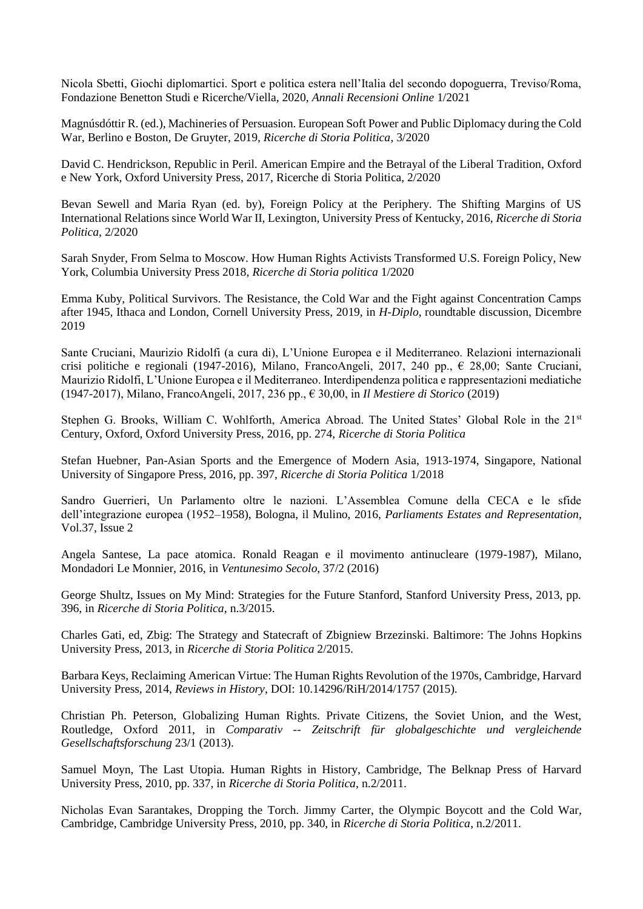Nicola Sbetti, Giochi diplomartici. Sport e politica estera nell'Italia del secondo dopoguerra, Treviso/Roma, Fondazione Benetton Studi e Ricerche/Viella, 2020, *Annali Recensioni Online* 1/2021

Magnúsdóttir R. (ed.), Machineries of Persuasion. European Soft Power and Public Diplomacy during the Cold War, Berlino e Boston, De Gruyter, 2019, *Ricerche di Storia Politica*, 3/2020

David C. Hendrickson, Republic in Peril. American Empire and the Betrayal of the Liberal Tradition, Oxford e New York, Oxford University Press, 2017, Ricerche di Storia Politica, 2/2020

Bevan Sewell and Maria Ryan (ed. by), Foreign Policy at the Periphery. The Shifting Margins of US International Relations since World War II, Lexington, University Press of Kentucky, 2016, *Ricerche di Storia Politica*, 2/2020

Sarah Snyder, From Selma to Moscow. How Human Rights Activists Transformed U.S. Foreign Policy, New York, Columbia University Press 2018, *Ricerche di Storia politica* 1/2020

Emma Kuby, Political Survivors. The Resistance, the Cold War and the Fight against Concentration Camps after 1945, Ithaca and London, Cornell University Press, 2019, in *H-Diplo*, roundtable discussion, Dicembre 2019

Sante Cruciani, Maurizio Ridolfi (a cura di), L'Unione Europea e il Mediterraneo. Relazioni internazionali crisi politiche e regionali (1947-2016), Milano, FrancoAngeli, 2017, 240 pp., € 28,00; Sante Cruciani, Maurizio Ridolfi, L'Unione Europea e il Mediterraneo. Interdipendenza politica e rappresentazioni mediatiche (1947-2017), Milano, FrancoAngeli, 2017, 236 pp., € 30,00, in *Il Mestiere di Storico* (2019)

Stephen G. Brooks, William C. Wohlforth, America Abroad. The United States' Global Role in the 21<sup>st</sup> Century, Oxford, Oxford University Press, 2016, pp. 274, *Ricerche di Storia Politica*

Stefan Huebner, Pan-Asian Sports and the Emergence of Modern Asia, 1913-1974, Singapore, National University of Singapore Press, 2016, pp. 397, *Ricerche di Storia Politica* 1/2018

Sandro Guerrieri, Un Parlamento oltre le nazioni. L'Assemblea Comune della CECA e le sfide dell'integrazione europea (1952–1958), Bologna, il Mulino, 2016, *Parliaments Estates and Representation*, Vol.37, Issue 2

Angela Santese, La pace atomica. Ronald Reagan e il movimento antinucleare (1979-1987), Milano, Mondadori Le Monnier, 2016, in *Ventunesimo Secolo*, 37/2 (2016)

George Shultz, Issues on My Mind: Strategies for the Future Stanford, Stanford University Press, 2013, pp. 396, in *Ricerche di Storia Politica*, n.3/2015.

Charles Gati, ed, Zbig: The Strategy and Statecraft of Zbigniew Brzezinski. Baltimore: The Johns Hopkins University Press, 2013, in *Ricerche di Storia Politica* 2/2015.

Barbara Keys, Reclaiming American Virtue: The Human Rights Revolution of the 1970s, Cambridge, Harvard University Press, 2014, *Reviews in History*, DOI: 10.14296/RiH/2014/1757 (2015).

Christian Ph. Peterson, Globalizing Human Rights. Private Citizens, the Soviet Union, and the West, Routledge, Oxford 2011, in *Comparativ -- Zeitschrift für globalgeschichte und vergleichende Gesellschaftsforschung* 23/1 (2013).

Samuel Moyn, The Last Utopia. Human Rights in History, Cambridge, The Belknap Press of Harvard University Press, 2010, pp. 337, in *Ricerche di Storia Politica*, n.2/2011.

Nicholas Evan Sarantakes, Dropping the Torch. Jimmy Carter, the Olympic Boycott and the Cold War, Cambridge, Cambridge University Press, 2010, pp. 340, in *Ricerche di Storia Politica*, n.2/2011.